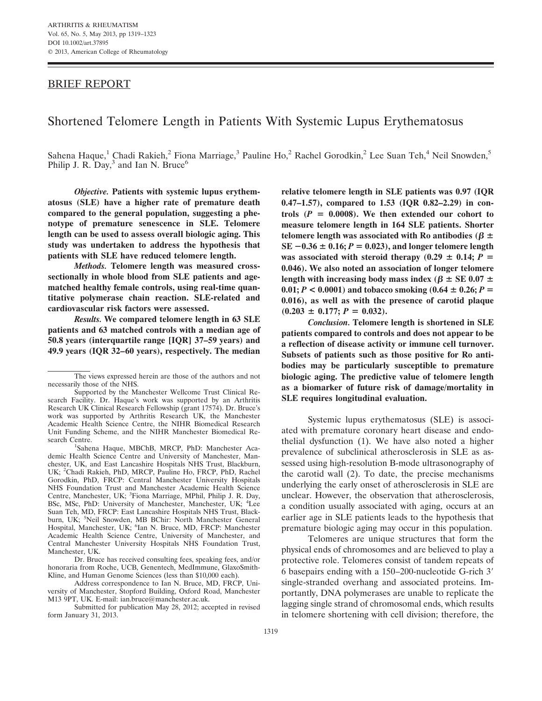## BRIEF REPORT

# Shortened Telomere Length in Patients With Systemic Lupus Erythematosus

Sahena Haque,<sup>1</sup> Chadi Rakieh,<sup>2</sup> Fiona Marriage,<sup>3</sup> Pauline Ho,<sup>2</sup> Rachel Gorodkin,<sup>2</sup> Lee Suan Teh,<sup>4</sup> Neil Snowden,<sup>5</sup> Philip J. R.  $Day<sup>3</sup>$  and Ian N. Bruce<sup>6</sup>

*Objective.* **Patients with systemic lupus erythematosus (SLE) have a higher rate of premature death compared to the general population, suggesting a phenotype of premature senescence in SLE. Telomere length can be used to assess overall biologic aging. This study was undertaken to address the hypothesis that patients with SLE have reduced telomere length.**

*Methods.* **Telomere length was measured crosssectionally in whole blood from SLE patients and agematched healthy female controls, using real-time quantitative polymerase chain reaction. SLE-related and cardiovascular risk factors were assessed.**

*Results.* **We compared telomere length in 63 SLE patients and 63 matched controls with a median age of 50.8 years (interquartile range [IQR] 37–59 years) and 49.9 years (IQR 32–60 years), respectively. The median**

Sahena Haque, MBChB, MRCP, PhD: Manchester Academic Health Science Centre and University of Manchester, Manchester, UK, and East Lancashire Hospitals NHS Trust, Blackburn, UK; <sup>2</sup> Chadi Rakieh, PhD, MRCP, Pauline Ho, FRCP, PhD, Rachel Gorodkin, PhD, FRCP: Central Manchester University Hospitals NHS Foundation Trust and Manchester Academic Health Science Centre, Manchester, UK; <sup>3</sup>Fiona Marriage, MPhil, Philip J. R. Day, BSc, MSc, PhD: University of Manchester, Manchester, UK; <sup>4</sup>Lee Suan Teh, MD, FRCP: East Lancashire Hospitals NHS Trust, Blackburn, UK; <sup>5</sup>Neil Snowden, MB BChir: North Manchester General Hospital, Manchester, UK; <sup>6</sup>Ian N. Bruce, MD, FRCP: Manchester Academic Health Science Centre, University of Manchester, and Central Manchester University Hospitals NHS Foundation Trust, Manchester, UK.

Dr. Bruce has received consulting fees, speaking fees, and/or honoraria from Roche, UCB, Genentech, MedImmune, GlaxoSmith-Kline, and Human Genome Sciences (less than \$10,000 each).

Address correspondence to Ian N. Bruce, MD, FRCP, University of Manchester, Stopford Building, Oxford Road, Manchester M13 9PT, UK. E-mail: ian.bruce@manchester.ac.uk.

Submitted for publication May 28, 2012; accepted in revised form January 31, 2013.

**relative telomere length in SLE patients was 0.97 (IQR 0.47–1.57), compared to 1.53 (IQR 0.82–2.29) in con**trols  $(P = 0.0008)$ . We then extended our cohort to **measure telomere length in 164 SLE patients. Shorter telomere length was associated with Ro antibodies (** $\beta \pm$  $SE -0.36 \pm 0.16$ ;  $P = 0.023$ ), and longer telomere length was associated with steroid therapy  $(0.29 \pm 0.14; P =$ **0.046). We also noted an association of longer telomere** length with increasing body mass index ( $\beta \pm \text{SE}$  0.07  $\pm$  $0.01; P < 0.0001$  and tobacco smoking  $(0.64 \pm 0.26; P =$ **0.016), as well as with the presence of carotid plaque**  $(0.203 \pm 0.177; P = 0.032).$ 

*Conclusion.* **Telomere length is shortened in SLE patients compared to controls and does not appear to be a reflection of disease activity or immune cell turnover. Subsets of patients such as those positive for Ro antibodies may be particularly susceptible to premature biologic aging. The predictive value of telomere length as a biomarker of future risk of damage/mortality in SLE requires longitudinal evaluation.**

Systemic lupus erythematosus (SLE) is associated with premature coronary heart disease and endothelial dysfunction (1). We have also noted a higher prevalence of subclinical atherosclerosis in SLE as assessed using high-resolution B-mode ultrasonography of the carotid wall (2). To date, the precise mechanisms underlying the early onset of atherosclerosis in SLE are unclear. However, the observation that atherosclerosis, a condition usually associated with aging, occurs at an earlier age in SLE patients leads to the hypothesis that premature biologic aging may occur in this population.

Telomeres are unique structures that form the physical ends of chromosomes and are believed to play a protective role. Telomeres consist of tandem repeats of 6 basepairs ending with a 150–200-nucleotide G-rich 3 single-stranded overhang and associated proteins. Importantly, DNA polymerases are unable to replicate the lagging single strand of chromosomal ends, which results in telomere shortening with cell division; therefore, the

The views expressed herein are those of the authors and not necessarily those of the NHS.

Supported by the Manchester Wellcome Trust Clinical Research Facility. Dr. Haque's work was supported by an Arthritis Research UK Clinical Research Fellowship (grant 17574). Dr. Bruce's work was supported by Arthritis Research UK, the Manchester Academic Health Science Centre, the NIHR Biomedical Research Unit Funding Scheme, and the NIHR Manchester Biomedical Research Centre.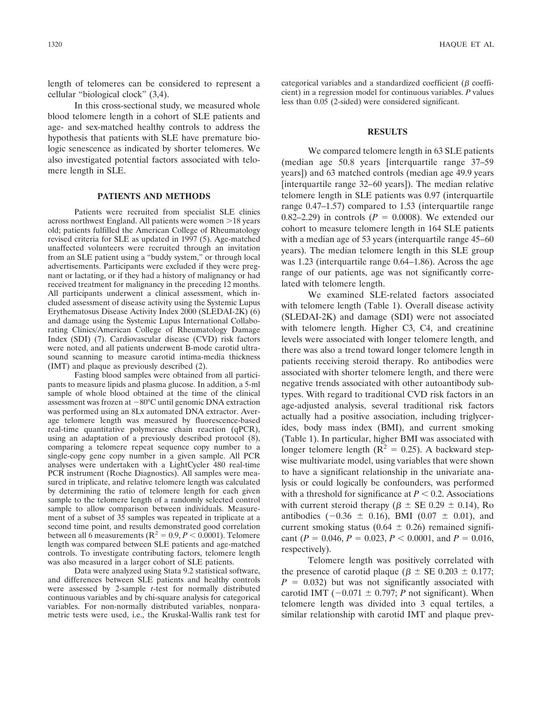length of telomeres can be considered to represent a cellular "biological clock" (3,4).

In this cross-sectional study, we measured whole blood telomere length in a cohort of SLE patients and age- and sex-matched healthy controls to address the hypothesis that patients with SLE have premature biologic senescence as indicated by shorter telomeres. We also investigated potential factors associated with telomere length in SLE.

#### **PATIENTS AND METHODS**

Patients were recruited from specialist SLE clinics across northwest England. All patients were women >18 years old; patients fulfilled the American College of Rheumatology revised criteria for SLE as updated in 1997 (5). Age-matched unaffected volunteers were recruited through an invitation from an SLE patient using a "buddy system," or through local advertisements. Participants were excluded if they were pregnant or lactating, or if they had a history of malignancy or had received treatment for malignancy in the preceding 12 months. All participants underwent a clinical assessment, which included assessment of disease activity using the Systemic Lupus Erythematosus Disease Activity Index 2000 (SLEDAI-2K) (6) and damage using the Systemic Lupus International Collaborating Clinics/American College of Rheumatology Damage Index (SDI) (7). Cardiovascular disease (CVD) risk factors were noted, and all patients underwent B-mode carotid ultrasound scanning to measure carotid intima-media thickness (IMT) and plaque as previously described (2).

Fasting blood samples were obtained from all participants to measure lipids and plasma glucose. In addition, a 5-ml sample of whole blood obtained at the time of the clinical assessment was frozen at  $-80^{\circ}$ C until genomic DNA extraction was performed using an 8Lx automated DNA extractor. Average telomere length was measured by fluorescence-based real-time quantitative polymerase chain reaction (qPCR), using an adaptation of a previously described protocol (8), comparing a telomere repeat sequence copy number to a single-copy gene copy number in a given sample. All PCR analyses were undertaken with a LightCycler 480 real-time PCR instrument (Roche Diagnostics). All samples were measured in triplicate, and relative telomere length was calculated by determining the ratio of telomere length for each given sample to the telomere length of a randomly selected control sample to allow comparison between individuals. Measurement of a subset of 35 samples was repeated in triplicate at a second time point, and results demonstrated good correlation between all 6 measurements ( $R^2 = 0.9, P < 0.0001$ ). Telomere length was compared between SLE patients and age-matched controls. To investigate contributing factors, telomere length was also measured in a larger cohort of SLE patients.

Data were analyzed using Stata 9.2 statistical software, and differences between SLE patients and healthy controls were assessed by 2-sample *t*-test for normally distributed continuous variables and by chi-square analysis for categorical variables. For non-normally distributed variables, nonparametric tests were used, i.e., the Kruskal-Wallis rank test for

categorical variables and a standardized coefficient ( $\beta$  coefficient) in a regression model for continuous variables. *P* values less than 0.05 (2-sided) were considered significant.

## **RESULTS**

We compared telomere length in 63 SLE patients (median age 50.8 years [interquartile range 37–59 years]) and 63 matched controls (median age 49.9 years [interquartile range 32–60 years]). The median relative telomere length in SLE patients was 0.97 (interquartile range 0.47–1.57) compared to 1.53 (interquartile range 0.82–2.29) in controls  $(P = 0.0008)$ . We extended our cohort to measure telomere length in 164 SLE patients with a median age of 53 years (interquartile range 45–60 years). The median telomere length in this SLE group was 1.23 (interquartile range 0.64–1.86). Across the age range of our patients, age was not significantly correlated with telomere length.

We examined SLE-related factors associated with telomere length (Table 1). Overall disease activity (SLEDAI-2K) and damage (SDI) were not associated with telomere length. Higher C3, C4, and creatinine levels were associated with longer telomere length, and there was also a trend toward longer telomere length in patients receiving steroid therapy. Ro antibodies were associated with shorter telomere length, and there were negative trends associated with other autoantibody subtypes. With regard to traditional CVD risk factors in an age-adjusted analysis, several traditional risk factors actually had a positive association, including triglycerides, body mass index (BMI), and current smoking (Table 1). In particular, higher BMI was associated with longer telomere length ( $R^2 = 0.25$ ). A backward stepwise multivariate model, using variables that were shown to have a significant relationship in the univariate analysis or could logically be confounders, was performed with a threshold for significance at  $P < 0.2$ . Associations with current steroid therapy ( $\beta \pm \text{SE}$  0.29  $\pm$  0.14), Ro antibodies  $(-0.36 \pm 0.16)$ , BMI  $(0.07 \pm 0.01)$ , and current smoking status (0.64  $\pm$  0.26) remained significant ( $P = 0.046$ ,  $P = 0.023$ ,  $P < 0.0001$ , and  $P = 0.016$ , respectively).

Telomere length was positively correlated with the presence of carotid plaque ( $\beta \pm \text{SE}$  0.203  $\pm$  0.177;  $P = 0.032$ ) but was not significantly associated with carotid IMT  $(-0.071 \pm 0.797; P$  not significant). When telomere length was divided into 3 equal tertiles, a similar relationship with carotid IMT and plaque prev-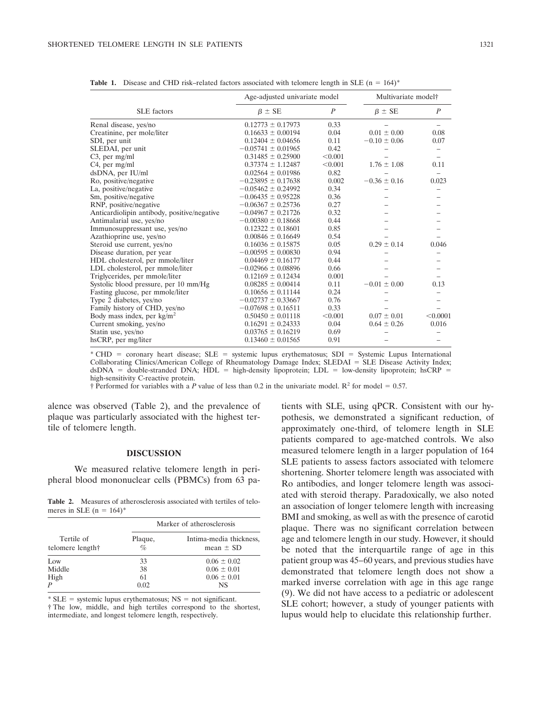| <b>SLE</b> factors                          | Age-adjusted univariate model |                | Multivariate model <sup>†</sup> |                |
|---------------------------------------------|-------------------------------|----------------|---------------------------------|----------------|
|                                             | $\beta \pm SE$                | $\overline{P}$ | $\beta \pm SE$                  | $\overline{P}$ |
| Renal disease, yes/no                       | $0.12773 \pm 0.17973$         | 0.33           |                                 |                |
| Creatinine, per mole/liter                  | $0.16633 \pm 0.00194$         | 0.04           | $0.01 \pm 0.00$                 | 0.08           |
| SDI, per unit                               | $0.12404 \pm 0.04656$         | 0.11           | $-0.10 \pm 0.06$                | 0.07           |
| SLEDAI, per unit                            | $-0.05741 \pm 0.01965$        | 0.42           |                                 |                |
| $C3$ , per mg/ml                            | $0.31485 \pm 0.25900$         | < 0.001        |                                 |                |
| C <sub>4</sub> , per mg/ml                  | $0.37374 \pm 1.12487$         | < 0.001        | $1.76 \pm 1.08$                 | 0.11           |
| dsDNA, per IU/ml                            | $0.02564 \pm 0.01986$         | 0.82           |                                 |                |
| Ro, positive/negative                       | $-0.23895 \pm 0.17638$        | 0.002          | $-0.36 \pm 0.16$                | 0.023          |
| La, positive/negative                       | $-0.05462 \pm 0.24992$        | 0.34           |                                 |                |
| Sm, positive/negative                       | $-0.06435 \pm 0.95228$        | 0.36           |                                 |                |
| RNP, positive/negative                      | $-0.06367 \pm 0.25736$        | 0.27           |                                 |                |
| Anticardiolipin antibody, positive/negative | $-0.04967 \pm 0.21726$        | 0.32           |                                 |                |
| Antimalarial use, yes/no                    | $-0.00380 \pm 0.18668$        | 0.44           |                                 |                |
| Immunosuppressant use, yes/no               | $0.12322 \pm 0.18601$         | 0.85           |                                 |                |
| Azathioprine use, yes/no                    | $0.00846 \pm 0.16649$         | 0.54           |                                 |                |
| Steroid use current, yes/no                 | $0.16036 \pm 0.15875$         | 0.05           | $0.29 \pm 0.14$                 | 0.046          |
| Disease duration, per year                  | $-0.00595 \pm 0.00830$        | 0.94           |                                 |                |
| HDL cholesterol, per mmole/liter            | $0.04469 \pm 0.16177$         | 0.44           |                                 |                |
| LDL cholesterol, per mmole/liter            | $-0.02966 \pm 0.08896$        | 0.66           |                                 |                |
| Triglycerides, per mmole/liter              | $0.12169 \pm 0.12434$         | 0.001          |                                 |                |
| Systolic blood pressure, per 10 mm/Hg       | $0.08285 \pm 0.00414$         | 0.11           | $-0.01 \pm 0.00$                | 0.13           |
| Fasting glucose, per mmole/liter            | $0.10656 \pm 0.11144$         | 0.24           |                                 |                |
| Type 2 diabetes, yes/no                     | $-0.02737 \pm 0.33667$        | 0.76           |                                 |                |
| Family history of CHD, yes/no               | $-0.07698 \pm 0.16511$        | 0.33           |                                 |                |
| Body mass index, per $kg/m2$                | $0.50450 \pm 0.01118$         | < 0.001        | $0.07 \pm 0.01$                 | < 0.0001       |
| Current smoking, yes/no                     | $0.16291 \pm 0.24333$         | 0.04           | $0.64 \pm 0.26$                 | 0.016          |
| Statin use, yes/no                          | $0.03765 \pm 0.16219$         | 0.69           |                                 |                |
| hsCRP, per mg/liter                         | $0.13460 \pm 0.01565$         | 0.91           |                                 |                |

**Table 1.** Disease and CHD risk–related factors associated with telomere length in SLE (n = 164)\*

\* CHD coronary heart disease; SLE systemic lupus erythematosus; SDI Systemic Lupus International Collaborating Clinics/American College of Rheumatology Damage Index; SLEDAI = SLE Disease Activity Index;  $dsDNA = double-stranded DNA$ ;  $HDL = high-density lipoprotein$ ;  $LDL = low-density lipoprotein$ ;  $isCRP =$ high-sensitivity C-reactive protein.

† Performed for variables with a *P* value of less than 0.2 in the univariate model.  $R^2$  for model = 0.57.

alence was observed (Table 2), and the prevalence of plaque was particularly associated with the highest tertile of telomere length.

### **DISCUSSION**

We measured relative telomere length in peripheral blood mononuclear cells (PBMCs) from 63 pa-

**Table 2.** Measures of atherosclerosis associated with tertiles of telomeres in SLE ( $n = 164$ )\*

| Tertile of<br>telomere length† | Marker of atherosclerosis |                                          |  |
|--------------------------------|---------------------------|------------------------------------------|--|
|                                | Plaque,<br>$\%$           | Intima-media thickness,<br>mean $\pm$ SD |  |
| Low                            | 33                        | $0.06 \pm 0.02$                          |  |
| Middle                         | 38                        | $0.06 \pm 0.01$                          |  |
| High                           | 61                        | $0.06 \pm 0.01$                          |  |
| P                              | 0.02                      | <b>NS</b>                                |  |

 $*$  SLE = systemic lupus erythematosus; NS = not significant. † The low, middle, and high tertiles correspond to the shortest, intermediate, and longest telomere length, respectively.

tients with SLE, using qPCR. Consistent with our hypothesis, we demonstrated a significant reduction, of approximately one-third, of telomere length in SLE patients compared to age-matched controls. We also measured telomere length in a larger population of 164 SLE patients to assess factors associated with telomere shortening. Shorter telomere length was associated with Ro antibodies, and longer telomere length was associated with steroid therapy. Paradoxically, we also noted an association of longer telomere length with increasing BMI and smoking, as well as with the presence of carotid plaque. There was no significant correlation between age and telomere length in our study. However, it should be noted that the interquartile range of age in this patient group was 45–60 years, and previous studies have demonstrated that telomere length does not show a marked inverse correlation with age in this age range (9). We did not have access to a pediatric or adolescent SLE cohort; however, a study of younger patients with lupus would help to elucidate this relationship further.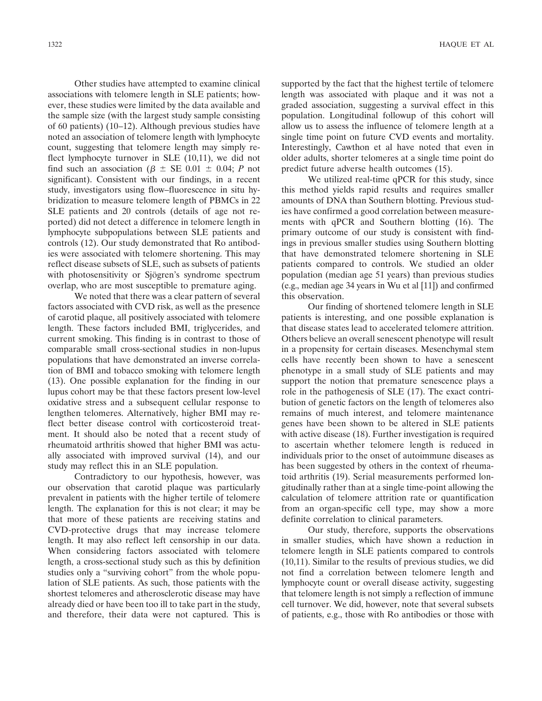Other studies have attempted to examine clinical associations with telomere length in SLE patients; however, these studies were limited by the data available and the sample size (with the largest study sample consisting of 60 patients) (10–12). Although previous studies have noted an association of telomere length with lymphocyte count, suggesting that telomere length may simply reflect lymphocyte turnover in SLE (10,11), we did not find such an association ( $\beta \pm \text{SE}$  0.01  $\pm$  0.04; *P* not significant). Consistent with our findings, in a recent study, investigators using flow–fluorescence in situ hybridization to measure telomere length of PBMCs in 22 SLE patients and 20 controls (details of age not reported) did not detect a difference in telomere length in lymphocyte subpopulations between SLE patients and controls (12). Our study demonstrated that Ro antibodies were associated with telomere shortening. This may reflect disease subsets of SLE, such as subsets of patients with photosensitivity or Sjögren's syndrome spectrum overlap, who are most susceptible to premature aging.

We noted that there was a clear pattern of several factors associated with CVD risk, as well as the presence of carotid plaque, all positively associated with telomere length. These factors included BMI, triglycerides, and current smoking. This finding is in contrast to those of comparable small cross-sectional studies in non-lupus populations that have demonstrated an inverse correlation of BMI and tobacco smoking with telomere length (13). One possible explanation for the finding in our lupus cohort may be that these factors present low-level oxidative stress and a subsequent cellular response to lengthen telomeres. Alternatively, higher BMI may reflect better disease control with corticosteroid treatment. It should also be noted that a recent study of rheumatoid arthritis showed that higher BMI was actually associated with improved survival (14), and our study may reflect this in an SLE population.

Contradictory to our hypothesis, however, was our observation that carotid plaque was particularly prevalent in patients with the higher tertile of telomere length. The explanation for this is not clear; it may be that more of these patients are receiving statins and CVD-protective drugs that may increase telomere length. It may also reflect left censorship in our data. When considering factors associated with telomere length, a cross-sectional study such as this by definition studies only a "surviving cohort" from the whole population of SLE patients. As such, those patients with the shortest telomeres and atherosclerotic disease may have already died or have been too ill to take part in the study, and therefore, their data were not captured. This is

supported by the fact that the highest tertile of telomere length was associated with plaque and it was not a graded association, suggesting a survival effect in this population. Longitudinal followup of this cohort will allow us to assess the influence of telomere length at a single time point on future CVD events and mortality. Interestingly, Cawthon et al have noted that even in older adults, shorter telomeres at a single time point do predict future adverse health outcomes (15).

We utilized real-time qPCR for this study, since this method yields rapid results and requires smaller amounts of DNA than Southern blotting. Previous studies have confirmed a good correlation between measurements with qPCR and Southern blotting (16). The primary outcome of our study is consistent with findings in previous smaller studies using Southern blotting that have demonstrated telomere shortening in SLE patients compared to controls. We studied an older population (median age 51 years) than previous studies (e.g., median age 34 years in Wu et al [11]) and confirmed this observation.

Our finding of shortened telomere length in SLE patients is interesting, and one possible explanation is that disease states lead to accelerated telomere attrition. Others believe an overall senescent phenotype will result in a propensity for certain diseases. Mesenchymal stem cells have recently been shown to have a senescent phenotype in a small study of SLE patients and may support the notion that premature senescence plays a role in the pathogenesis of SLE (17). The exact contribution of genetic factors on the length of telomeres also remains of much interest, and telomere maintenance genes have been shown to be altered in SLE patients with active disease (18). Further investigation is required to ascertain whether telomere length is reduced in individuals prior to the onset of autoimmune diseases as has been suggested by others in the context of rheumatoid arthritis (19). Serial measurements performed longitudinally rather than at a single time-point allowing the calculation of telomere attrition rate or quantification from an organ-specific cell type, may show a more definite correlation to clinical parameters.

Our study, therefore, supports the observations in smaller studies, which have shown a reduction in telomere length in SLE patients compared to controls (10,11). Similar to the results of previous studies, we did not find a correlation between telomere length and lymphocyte count or overall disease activity, suggesting that telomere length is not simply a reflection of immune cell turnover. We did, however, note that several subsets of patients, e.g., those with Ro antibodies or those with